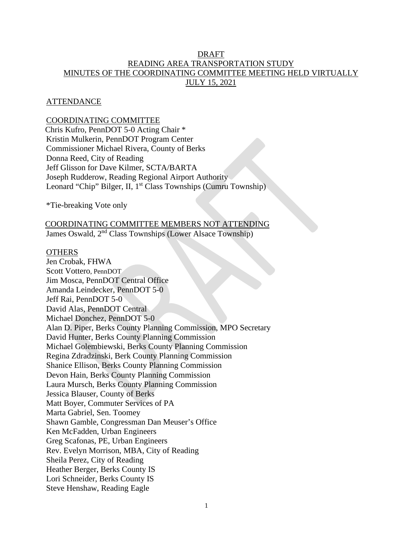## DRAFT READING AREA TRANSPORTATION STUDY MINUTES OF THE COORDINATING COMMITTEE MEETING HELD VIRTUALLY JULY 15, 2021

## **ATTENDANCE**

## COORDINATING COMMITTEE

Chris Kufro, PennDOT 5-0 Acting Chair \* Kristin Mulkerin, PennDOT Program Center Commissioner Michael Rivera, County of Berks Donna Reed, City of Reading Jeff Glisson for Dave Kilmer, SCTA/BARTA Joseph Rudderow, Reading Regional Airport Authority Leonard "Chip" Bilger, II, 1<sup>st</sup> Class Townships (Cumru Township)

\*Tie-breaking Vote only

# COORDINATING COMMITTEE MEMBERS NOT ATTENDING

James Oswald, 2nd Class Townships (Lower Alsace Township)

#### **OTHERS**

Jen Crobak, FHWA Scott Vottero, PennDOT Jim Mosca, PennDOT Central Office Amanda Leindecker, PennDOT 5-0 Jeff Rai, PennDOT 5-0 David Alas, PennDOT Central Michael Donchez, PennDOT 5-0 Alan D. Piper, Berks County Planning Commission, MPO Secretary David Hunter, Berks County Planning Commission Michael Golembiewski, Berks County Planning Commission Regina Zdradzinski, Berk County Planning Commission Shanice Ellison, Berks County Planning Commission Devon Hain, Berks County Planning Commission Laura Mursch, Berks County Planning Commission Jessica Blauser, County of Berks Matt Boyer, Commuter Services of PA Marta Gabriel, Sen. Toomey Shawn Gamble, Congressman Dan Meuser's Office Ken McFadden, Urban Engineers Greg Scafonas, PE, Urban Engineers Rev. Evelyn Morrison, MBA, City of Reading Sheila Perez, City of Reading Heather Berger, Berks County IS Lori Schneider, Berks County IS Steve Henshaw, Reading Eagle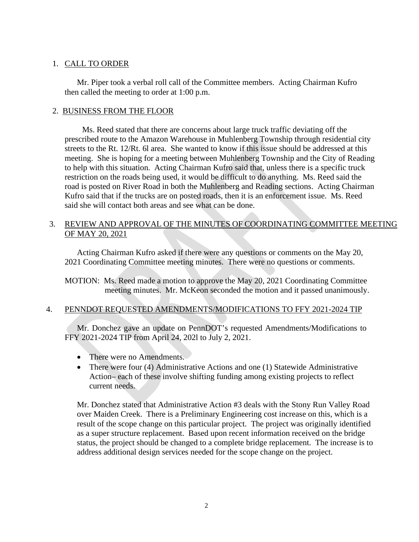## 1. CALL TO ORDER

Mr. Piper took a verbal roll call of the Committee members. Acting Chairman Kufro then called the meeting to order at 1:00 p.m.

## 2. BUSINESS FROM THE FLOOR

 Ms. Reed stated that there are concerns about large truck traffic deviating off the prescribed route to the Amazon Warehouse in Muhlenberg Township through residential city streets to the Rt. 12/Rt. 6l area. She wanted to know if this issue should be addressed at this meeting. She is hoping for a meeting between Muhlenberg Township and the City of Reading to help with this situation. Acting Chairman Kufro said that, unless there is a specific truck restriction on the roads being used, it would be difficult to do anything. Ms. Reed said the road is posted on River Road in both the Muhlenberg and Reading sections. Acting Chairman Kufro said that if the trucks are on posted roads, then it is an enforcement issue. Ms. Reed said she will contact both areas and see what can be done.

## 3. REVIEW AND APPROVAL OF THE MINUTES OF COORDINATING COMMITTEE MEETING OF MAY 20, 2021

Acting Chairman Kufro asked if there were any questions or comments on the May 20, 2021 Coordinating Committee meeting minutes. There were no questions or comments.

MOTION: Ms. Reed made a motion to approve the May 20, 2021 Coordinating Committee meeting minutes. Mr. McKeon seconded the motion and it passed unanimously.

## 4. PENNDOT REQUESTED AMENDMENTS/MODIFICATIONS TO FFY 2021-2024 TIP

Mr. Donchez gave an update on PennDOT's requested Amendments/Modifications to FFY 2021-2024 TIP from April 24, 202l to July 2, 2021.

- There were no Amendments.
- There were four (4) Administrative Actions and one (1) Statewide Administrative Action– each of these involve shifting funding among existing projects to reflect current needs.

Mr. Donchez stated that Administrative Action #3 deals with the Stony Run Valley Road over Maiden Creek. There is a Preliminary Engineering cost increase on this, which is a result of the scope change on this particular project. The project was originally identified as a super structure replacement. Based upon recent information received on the bridge status, the project should be changed to a complete bridge replacement. The increase is to address additional design services needed for the scope change on the project.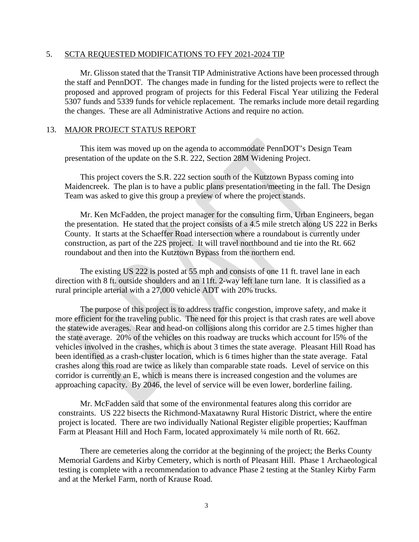#### 5. SCTA REQUESTED MODIFICATIONS TO FFY 2021-2024 TIP

Mr. Glisson stated that the Transit TIP Administrative Actions have been processed through the staff and PennDOT. The changes made in funding for the listed projects were to reflect the proposed and approved program of projects for this Federal Fiscal Year utilizing the Federal 5307 funds and 5339 funds for vehicle replacement. The remarks include more detail regarding the changes. These are all Administrative Actions and require no action.

### 13. MAJOR PROJECT STATUS REPORT

 This item was moved up on the agenda to accommodate PennDOT's Design Team presentation of the update on the S.R. 222, Section 28M Widening Project.

 This project covers the S.R. 222 section south of the Kutztown Bypass coming into Maidencreek. The plan is to have a public plans presentation/meeting in the fall. The Design Team was asked to give this group a preview of where the project stands.

 Mr. Ken McFadden, the project manager for the consulting firm, Urban Engineers, began the presentation. He stated that the project consists of a 4.5 mile stretch along US 222 in Berks County. It starts at the Schaeffer Road intersection where a roundabout is currently under construction, as part of the 22S project. It will travel northbound and tie into the Rt. 662 roundabout and then into the Kutztown Bypass from the northern end.

 The existing US 222 is posted at 55 mph and consists of one 11 ft. travel lane in each direction with 8 ft. outside shoulders and an 11ft. 2-way left lane turn lane. It is classified as a rural principle arterial with a 27,000 vehicle ADT with 20% trucks.

 The purpose of this project is to address traffic congestion, improve safety, and make it more efficient for the traveling public. The need for this project is that crash rates are well above the statewide averages. Rear and head-on collisions along this corridor are 2.5 times higher than the state average. 20% of the vehicles on this roadway are trucks which account for l5% of the vehicles involved in the crashes, which is about 3 times the state average. Pleasant Hill Road has been identified as a crash-cluster location, which is 6 times higher than the state average. Fatal crashes along this road are twice as likely than comparable state roads. Level of service on this corridor is currently an E, which is means there is increased congestion and the volumes are approaching capacity. By 2046, the level of service will be even lower, borderline failing.

 Mr. McFadden said that some of the environmental features along this corridor are constraints. US 222 bisects the Richmond-Maxatawny Rural Historic District, where the entire project is located. There are two individually National Register eligible properties; Kauffman Farm at Pleasant Hill and Hoch Farm, located approximately  $\frac{1}{4}$  mile north of Rt. 662.

There are cemeteries along the corridor at the beginning of the project; the Berks County Memorial Gardens and Kirby Cemetery, which is north of Pleasant Hill. Phase 1 Archaeological testing is complete with a recommendation to advance Phase 2 testing at the Stanley Kirby Farm and at the Merkel Farm, north of Krause Road.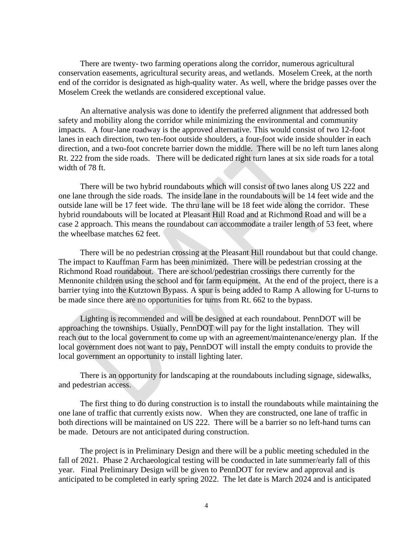There are twenty- two farming operations along the corridor, numerous agricultural conservation easements, agricultural security areas, and wetlands. Moselem Creek, at the north end of the corridor is designated as high-quality water. As well, where the bridge passes over the Moselem Creek the wetlands are considered exceptional value.

 An alternative analysis was done to identify the preferred alignment that addressed both safety and mobility along the corridor while minimizing the environmental and community impacts. A four-lane roadway is the approved alternative. This would consist of two 12-foot lanes in each direction, two ten-foot outside shoulders, a four-foot wide inside shoulder in each direction, and a two-foot concrete barrier down the middle. There will be no left turn lanes along Rt. 222 from the side roads. There will be dedicated right turn lanes at six side roads for a total width of 78 ft.

There will be two hybrid roundabouts which will consist of two lanes along US 222 and one lane through the side roads. The inside lane in the roundabouts will be 14 feet wide and the outside lane will be 17 feet wide. The thru lane will be 18 feet wide along the corridor. These hybrid roundabouts will be located at Pleasant Hill Road and at Richmond Road and will be a case 2 approach. This means the roundabout can accommodate a trailer length of 53 feet, where the wheelbase matches 62 feet.

 There will be no pedestrian crossing at the Pleasant Hill roundabout but that could change. The impact to Kauffman Farm has been minimized. There will be pedestrian crossing at the Richmond Road roundabout. There are school/pedestrian crossings there currently for the Mennonite children using the school and for farm equipment. At the end of the project, there is a barrier tying into the Kutztown Bypass. A spur is being added to Ramp A allowing for U-turns to be made since there are no opportunities for turns from Rt. 662 to the bypass.

 Lighting is recommended and will be designed at each roundabout. PennDOT will be approaching the townships. Usually, PennDOT will pay for the light installation. They will reach out to the local government to come up with an agreement/maintenance/energy plan. If the local government does not want to pay, PennDOT will install the empty conduits to provide the local government an opportunity to install lighting later.

 There is an opportunity for landscaping at the roundabouts including signage, sidewalks, and pedestrian access.

 The first thing to do during construction is to install the roundabouts while maintaining the one lane of traffic that currently exists now. When they are constructed, one lane of traffic in both directions will be maintained on US 222. There will be a barrier so no left-hand turns can be made. Detours are not anticipated during construction.

 The project is in Preliminary Design and there will be a public meeting scheduled in the fall of 2021. Phase 2 Archaeological testing will be conducted in late summer/early fall of this year. Final Preliminary Design will be given to PennDOT for review and approval and is anticipated to be completed in early spring 2022. The let date is March 2024 and is anticipated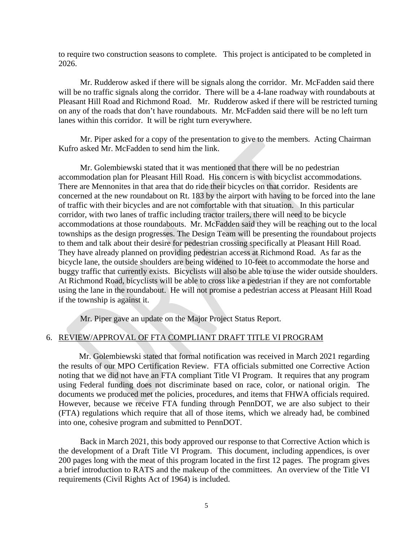to require two construction seasons to complete. This project is anticipated to be completed in 2026.

 Mr. Rudderow asked if there will be signals along the corridor. Mr. McFadden said there will be no traffic signals along the corridor. There will be a 4-lane roadway with roundabouts at Pleasant Hill Road and Richmond Road. Mr. Rudderow asked if there will be restricted turning on any of the roads that don't have roundabouts. Mr. McFadden said there will be no left turn lanes within this corridor. It will be right turn everywhere.

 Mr. Piper asked for a copy of the presentation to give to the members. Acting Chairman Kufro asked Mr. McFadden to send him the link.

Mr. Golembiewski stated that it was mentioned that there will be no pedestrian accommodation plan for Pleasant Hill Road. His concern is with bicyclist accommodations. There are Mennonites in that area that do ride their bicycles on that corridor. Residents are concerned at the new roundabout on Rt. 183 by the airport with having to be forced into the lane of traffic with their bicycles and are not comfortable with that situation. In this particular corridor, with two lanes of traffic including tractor trailers, there will need to be bicycle accommodations at those roundabouts. Mr. McFadden said they will be reaching out to the local townships as the design progresses. The Design Team will be presenting the roundabout projects to them and talk about their desire for pedestrian crossing specifically at Pleasant Hill Road. They have already planned on providing pedestrian access at Richmond Road. As far as the bicycle lane, the outside shoulders are being widened to 10-feet to accommodate the horse and buggy traffic that currently exists. Bicyclists will also be able to use the wider outside shoulders. At Richmond Road, bicyclists will be able to cross like a pedestrian if they are not comfortable using the lane in the roundabout. He will not promise a pedestrian access at Pleasant Hill Road if the township is against it.

Mr. Piper gave an update on the Major Project Status Report.

#### 6. REVIEW/APPROVAL OF FTA COMPLIANT DRAFT TITLE VI PROGRAM

 Mr. Golembiewski stated that formal notification was received in March 2021 regarding the results of our MPO Certification Review. FTA officials submitted one Corrective Action noting that we did not have an FTA compliant Title VI Program. It requires that any program using Federal funding does not discriminate based on race, color, or national origin. The documents we produced met the policies, procedures, and items that FHWA officials required. However, because we receive FTA funding through PennDOT, we are also subject to their (FTA) regulations which require that all of those items, which we already had, be combined into one, cohesive program and submitted to PennDOT.

 Back in March 2021, this body approved our response to that Corrective Action which is the development of a Draft Title VI Program. This document, including appendices, is over 200 pages long with the meat of this program located in the first 12 pages. The program gives a brief introduction to RATS and the makeup of the committees. An overview of the Title VI requirements (Civil Rights Act of 1964) is included.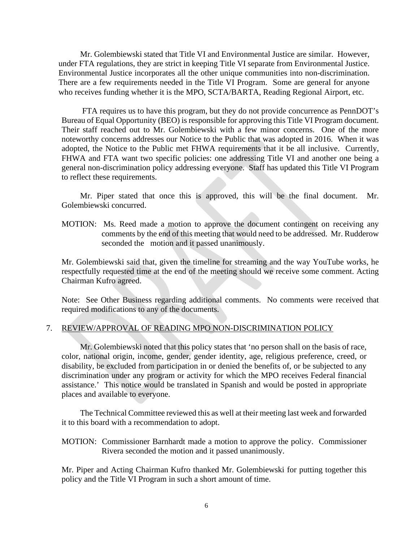Mr. Golembiewski stated that Title VI and Environmental Justice are similar. However, under FTA regulations, they are strict in keeping Title VI separate from Environmental Justice. Environmental Justice incorporates all the other unique communities into non-discrimination. There are a few requirements needed in the Title VI Program. Some are general for anyone who receives funding whether it is the MPO, SCTA/BARTA, Reading Regional Airport, etc.

 FTA requires us to have this program, but they do not provide concurrence as PennDOT's Bureau of Equal Opportunity (BEO) is responsible for approving this Title VI Program document. Their staff reached out to Mr. Golembiewski with a few minor concerns. One of the more noteworthy concerns addresses our Notice to the Public that was adopted in 2016. When it was adopted, the Notice to the Public met FHWA requirements that it be all inclusive. Currently, FHWA and FTA want two specific policies: one addressing Title VI and another one being a general non-discrimination policy addressing everyone. Staff has updated this Title VI Program to reflect these requirements.

 Mr. Piper stated that once this is approved, this will be the final document. Mr. Golembiewski concurred.

MOTION: Ms. Reed made a motion to approve the document contingent on receiving any comments by the end of this meeting that would need to be addressed. Mr. Rudderow seconded the motion and it passed unanimously.

Mr. Golembiewski said that, given the timeline for streaming and the way YouTube works, he respectfully requested time at the end of the meeting should we receive some comment. Acting Chairman Kufro agreed.

Note: See Other Business regarding additional comments. No comments were received that required modifications to any of the documents.

## 7. REVIEW/APPROVAL OF READING MPO NON-DISCRIMINATION POLICY

Mr. Golembiewski noted that this policy states that 'no person shall on the basis of race, color, national origin, income, gender, gender identity, age, religious preference, creed, or disability, be excluded from participation in or denied the benefits of, or be subjected to any discrimination under any program or activity for which the MPO receives Federal financial assistance.' This notice would be translated in Spanish and would be posted in appropriate places and available to everyone.

The Technical Committee reviewed this as well at their meeting last week and forwarded it to this board with a recommendation to adopt.

MOTION: Commissioner Barnhardt made a motion to approve the policy. Commissioner Rivera seconded the motion and it passed unanimously.

Mr. Piper and Acting Chairman Kufro thanked Mr. Golembiewski for putting together this policy and the Title VI Program in such a short amount of time.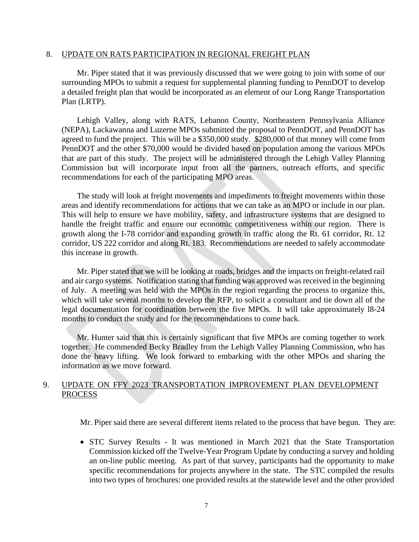#### 8. UPDATE ON RATS PARTICIPATION IN REGIONAL FREIGHT PLAN

Mr. Piper stated that it was previously discussed that we were going to join with some of our surrounding MPOs to submit a request for supplemental planning funding to PennDOT to develop a detailed freight plan that would be incorporated as an element of our Long Range Transportation Plan (LRTP).

Lehigh Valley, along with RATS, Lebanon County, Northeastern Pennsylvania Alliance (NEPA), Lackawanna and Luzerne MPOs submitted the proposal to PennDOT, and PennDOT has agreed to fund the project. This will be a \$350,000 study. \$280,000 of that money will come from PennDOT and the other \$70,000 would be divided based on population among the various MPOs that are part of this study. The project will be administered through the Lehigh Valley Planning Commission but will incorporate input from all the partners, outreach efforts, and specific recommendations for each of the participating MPO areas.

The study will look at freight movements and impediments to freight movements within those areas and identify recommendations for actions that we can take as an MPO or include in our plan. This will help to ensure we have mobility, safety, and infrastructure systems that are designed to handle the freight traffic and ensure our economic competitiveness within our region. There is growth along the I-78 corridor and expanding growth in traffic along the Rt. 61 corridor, Rt. 12 corridor, US 222 corridor and along Rt. 183. Recommendations are needed to safely accommodate this increase in growth.

Mr. Piper stated that we will be looking at roads, bridges and the impacts on freight-related rail and air cargo systems. Notification stating that funding was approved was received in the beginning of July. A meeting was held with the MPOs in the region regarding the process to organize this, which will take several months to develop the RFP, to solicit a consultant and tie down all of the legal documentation for coordination between the five MPOs. It will take approximately l8-24 months to conduct the study and for the recommendations to come back.

Mr. Hunter said that this is certainly significant that five MPOs are coming together to work together. He commended Becky Bradley from the Lehigh Valley Planning Commission, who has done the heavy lifting. We look forward to embarking with the other MPOs and sharing the information as we move forward.

## 9. UPDATE ON FFY 2023 TRANSPORTATION IMPROVEMENT PLAN DEVELOPMENT PROCESS

Mr. Piper said there are several different items related to the process that have begun. They are:

• STC Survey Results - It was mentioned in March 2021 that the State Transportation Commission kicked off the Twelve-Year Program Update by conducting a survey and holding an on-line public meeting. As part of that survey, participants had the opportunity to make specific recommendations for projects anywhere in the state. The STC compiled the results into two types of brochures: one provided results at the statewide level and the other provided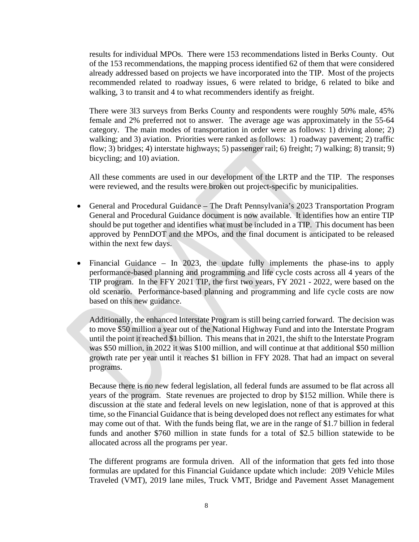results for individual MPOs. There were 153 recommendations listed in Berks County. Out of the 153 recommendations, the mapping process identified 62 of them that were considered already addressed based on projects we have incorporated into the TIP. Most of the projects recommended related to roadway issues, 6 were related to bridge, 6 related to bike and walking, 3 to transit and 4 to what recommenders identify as freight.

There were 3l3 surveys from Berks County and respondents were roughly 50% male, 45% female and 2% preferred not to answer. The average age was approximately in the 55-64 category. The main modes of transportation in order were as follows: 1) driving alone; 2) walking; and 3) aviation. Priorities were ranked as follows: 1) roadway pavement; 2) traffic flow; 3) bridges; 4) interstate highways; 5) passenger rail; 6) freight; 7) walking; 8) transit; 9) bicycling; and 10) aviation.

All these comments are used in our development of the LRTP and the TIP. The responses were reviewed, and the results were broken out project-specific by municipalities.

- General and Procedural Guidance The Draft Pennsylvania's 2023 Transportation Program General and Procedural Guidance document is now available. It identifies how an entire TIP should be put together and identifies what must be included in a TIP. This document has been approved by PennDOT and the MPOs, and the final document is anticipated to be released within the next few days.
- Financial Guidance In 2023, the update fully implements the phase-ins to apply performance-based planning and programming and life cycle costs across all 4 years of the TIP program. In the FFY 2021 TIP, the first two years, FY 2021 - 2022, were based on the old scenario. Performance-based planning and programming and life cycle costs are now based on this new guidance.

Additionally, the enhanced Interstate Program is still being carried forward. The decision was to move \$50 million a year out of the National Highway Fund and into the Interstate Program until the point it reached \$1 billion. This means that in 2021, the shift to the Interstate Program was \$50 million, in 2022 it was \$100 million, and will continue at that additional \$50 million growth rate per year until it reaches \$1 billion in FFY 2028. That had an impact on several programs.

Because there is no new federal legislation, all federal funds are assumed to be flat across all years of the program. State revenues are projected to drop by \$152 million. While there is discussion at the state and federal levels on new legislation, none of that is approved at this time, so the Financial Guidance that is being developed does not reflect any estimates for what may come out of that. With the funds being flat, we are in the range of \$1.7 billion in federal funds and another \$760 million in state funds for a total of \$2.5 billion statewide to be allocated across all the programs per year.

The different programs are formula driven. All of the information that gets fed into those formulas are updated for this Financial Guidance update which include: 20l9 Vehicle Miles Traveled (VMT), 2019 lane miles, Truck VMT, Bridge and Pavement Asset Management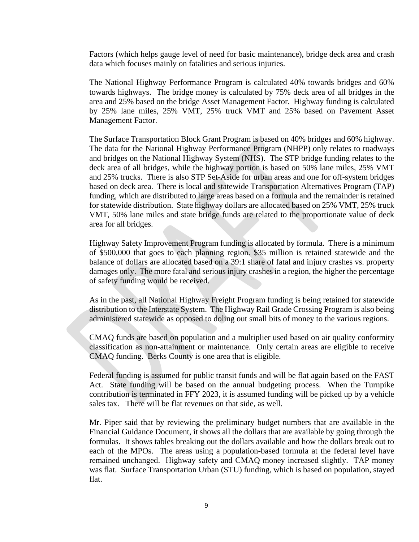Factors (which helps gauge level of need for basic maintenance), bridge deck area and crash data which focuses mainly on fatalities and serious injuries.

The National Highway Performance Program is calculated 40% towards bridges and 60% towards highways. The bridge money is calculated by 75% deck area of all bridges in the area and 25% based on the bridge Asset Management Factor. Highway funding is calculated by 25% lane miles, 25% VMT, 25% truck VMT and 25% based on Pavement Asset Management Factor.

The Surface Transportation Block Grant Program is based on 40% bridges and 60% highway. The data for the National Highway Performance Program (NHPP) only relates to roadways and bridges on the National Highway System (NHS). The STP bridge funding relates to the deck area of all bridges, while the highway portion is based on 50% lane miles, 25% VMT and 25% trucks. There is also STP Set-Aside for urban areas and one for off-system bridges based on deck area. There is local and statewide Transportation Alternatives Program (TAP) funding, which are distributed to large areas based on a formula and the remainder is retained for statewide distribution. State highway dollars are allocated based on 25% VMT, 25% truck VMT, 50% lane miles and state bridge funds are related to the proportionate value of deck area for all bridges.

Highway Safety Improvement Program funding is allocated by formula. There is a minimum of \$500,000 that goes to each planning region. \$35 million is retained statewide and the balance of dollars are allocated based on a 39:1 share of fatal and injury crashes vs. property damages only. The more fatal and serious injury crashes in a region, the higher the percentage of safety funding would be received.

As in the past, all National Highway Freight Program funding is being retained for statewide distribution to the Interstate System. The Highway Rail Grade Crossing Program is also being administered statewide as opposed to doling out small bits of money to the various regions.

CMAQ funds are based on population and a multiplier used based on air quality conformity classification as non-attainment or maintenance. Only certain areas are eligible to receive CMAQ funding. Berks County is one area that is eligible.

Federal funding is assumed for public transit funds and will be flat again based on the FAST Act. State funding will be based on the annual budgeting process. When the Turnpike contribution is terminated in FFY 2023, it is assumed funding will be picked up by a vehicle sales tax. There will be flat revenues on that side, as well.

Mr. Piper said that by reviewing the preliminary budget numbers that are available in the Financial Guidance Document, it shows all the dollars that are available by going through the formulas. It shows tables breaking out the dollars available and how the dollars break out to each of the MPOs. The areas using a population-based formula at the federal level have remained unchanged. Highway safety and CMAQ money increased slightly. TAP money was flat. Surface Transportation Urban (STU) funding, which is based on population, stayed flat.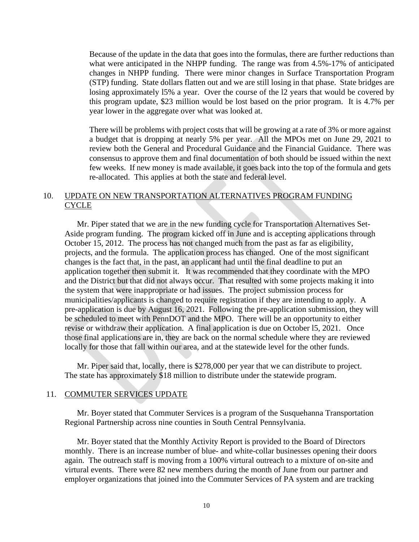Because of the update in the data that goes into the formulas, there are further reductions than what were anticipated in the NHPP funding. The range was from 4.5%-17% of anticipated changes in NHPP funding. There were minor changes in Surface Transportation Program (STP) funding. State dollars flatten out and we are still losing in that phase. State bridges are losing approximately l5% a year. Over the course of the l2 years that would be covered by this program update, \$23 million would be lost based on the prior program. It is 4.7% per year lower in the aggregate over what was looked at.

There will be problems with project costs that will be growing at a rate of 3% or more against a budget that is dropping at nearly 5% per year. All the MPOs met on June 29, 2021 to review both the General and Procedural Guidance and the Financial Guidance. There was consensus to approve them and final documentation of both should be issued within the next few weeks. If new money is made available, it goes back into the top of the formula and gets re-allocated. This applies at both the state and federal level.

## 10. UPDATE ON NEW TRANSPORTATION ALTERNATIVES PROGRAM FUNDING **CYCLE**

Mr. Piper stated that we are in the new funding cycle for Transportation Alternatives Set-Aside program funding. The program kicked off in June and is accepting applications through October 15, 2012. The process has not changed much from the past as far as eligibility, projects, and the formula. The application process has changed. One of the most significant changes is the fact that, in the past, an applicant had until the final deadline to put an application together then submit it. It was recommended that they coordinate with the MPO and the District but that did not always occur. That resulted with some projects making it into the system that were inappropriate or had issues. The project submission process for municipalities/applicants is changed to require registration if they are intending to apply. A pre-application is due by August 16, 2021. Following the pre-application submission, they will be scheduled to meet with PennDOT and the MPO. There will be an opportunity to either revise or withdraw their application. A final application is due on October l5, 2021. Once those final applications are in, they are back on the normal schedule where they are reviewed locally for those that fall within our area, and at the statewide level for the other funds.

 Mr. Piper said that, locally, there is \$278,000 per year that we can distribute to project. The state has approximately \$18 million to distribute under the statewide program.

#### 11. COMMUTER SERVICES UPDATE

 Mr. Boyer stated that Commuter Services is a program of the Susquehanna Transportation Regional Partnership across nine counties in South Central Pennsylvania.

 Mr. Boyer stated that the Monthly Activity Report is provided to the Board of Directors monthly. There is an increase number of blue- and white-collar businesses opening their doors again. The outreach staff is moving from a 100% virtural outreach to a mixture of on-site and virtural events. There were 82 new members during the month of June from our partner and employer organizations that joined into the Commuter Services of PA system and are tracking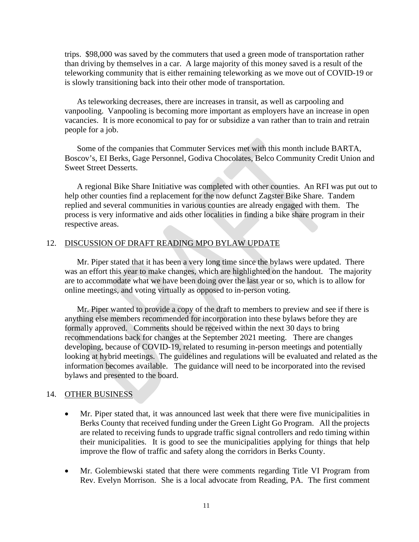trips. \$98,000 was saved by the commuters that used a green mode of transportation rather than driving by themselves in a car. A large majority of this money saved is a result of the teleworking community that is either remaining teleworking as we move out of COVID-19 or is slowly transitioning back into their other mode of transportation.

As teleworking decreases, there are increases in transit, as well as carpooling and vanpooling. Vanpooling is becoming more important as employers have an increase in open vacancies. It is more economical to pay for or subsidize a van rather than to train and retrain people for a job.

 Some of the companies that Commuter Services met with this month include BARTA, Boscov's, EI Berks, Gage Personnel, Godiva Chocolates, Belco Community Credit Union and Sweet Street Desserts.

 A regional Bike Share Initiative was completed with other counties. An RFI was put out to help other counties find a replacement for the now defunct Zagster Bike Share. Tandem replied and several communities in various counties are already engaged with them. The process is very informative and aids other localities in finding a bike share program in their respective areas.

## 12. DISCUSSION OF DRAFT READING MPO BYLAW UPDATE

Mr. Piper stated that it has been a very long time since the bylaws were updated. There was an effort this year to make changes, which are highlighted on the handout. The majority are to accommodate what we have been doing over the last year or so, which is to allow for online meetings, and voting virtually as opposed to in-person voting.

 Mr. Piper wanted to provide a copy of the draft to members to preview and see if there is anything else members recommended for incorporation into these bylaws before they are formally approved. Comments should be received within the next 30 days to bring recommendations back for changes at the September 2021 meeting. There are changes developing, because of COVID-19, related to resuming in-person meetings and potentially looking at hybrid meetings. The guidelines and regulations will be evaluated and related as the information becomes available. The guidance will need to be incorporated into the revised bylaws and presented to the board.

## 14. OTHER BUSINESS

- Mr. Piper stated that, it was announced last week that there were five municipalities in Berks County that received funding under the Green Light Go Program. All the projects are related to receiving funds to upgrade traffic signal controllers and redo timing within their municipalities. It is good to see the municipalities applying for things that help improve the flow of traffic and safety along the corridors in Berks County.
- Mr. Golembiewski stated that there were comments regarding Title VI Program from Rev. Evelyn Morrison. She is a local advocate from Reading, PA. The first comment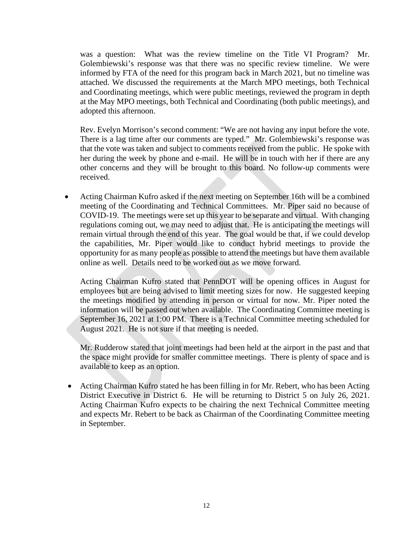was a question: What was the review timeline on the Title VI Program? Mr. Golembiewski's response was that there was no specific review timeline. We were informed by FTA of the need for this program back in March 2021, but no timeline was attached. We discussed the requirements at the March MPO meetings, both Technical and Coordinating meetings, which were public meetings, reviewed the program in depth at the May MPO meetings, both Technical and Coordinating (both public meetings), and adopted this afternoon.

Rev. Evelyn Morrison's second comment: "We are not having any input before the vote. There is a lag time after our comments are typed." Mr. Golembiewski's response was that the vote was taken and subject to comments received from the public. He spoke with her during the week by phone and e-mail. He will be in touch with her if there are any other concerns and they will be brought to this board. No follow-up comments were received.

• Acting Chairman Kufro asked if the next meeting on September 16th will be a combined meeting of the Coordinating and Technical Committees. Mr. Piper said no because of COVID-19. The meetings were set up this year to be separate and virtual. With changing regulations coming out, we may need to adjust that. He is anticipating the meetings will remain virtual through the end of this year. The goal would be that, if we could develop the capabilities, Mr. Piper would like to conduct hybrid meetings to provide the opportunity for as many people as possible to attend the meetings but have them available online as well. Details need to be worked out as we move forward.

Acting Chairman Kufro stated that PennDOT will be opening offices in August for employees but are being advised to limit meeting sizes for now. He suggested keeping the meetings modified by attending in person or virtual for now. Mr. Piper noted the information will be passed out when available. The Coordinating Committee meeting is September 16, 2021 at 1:00 PM. There is a Technical Committee meeting scheduled for August 2021. He is not sure if that meeting is needed.

Mr. Rudderow stated that joint meetings had been held at the airport in the past and that the space might provide for smaller committee meetings. There is plenty of space and is available to keep as an option.

• Acting Chairman Kufro stated he has been filling in for Mr. Rebert, who has been Acting District Executive in District 6. He will be returning to District 5 on July 26, 2021. Acting Chairman Kufro expects to be chairing the next Technical Committee meeting and expects Mr. Rebert to be back as Chairman of the Coordinating Committee meeting in September.